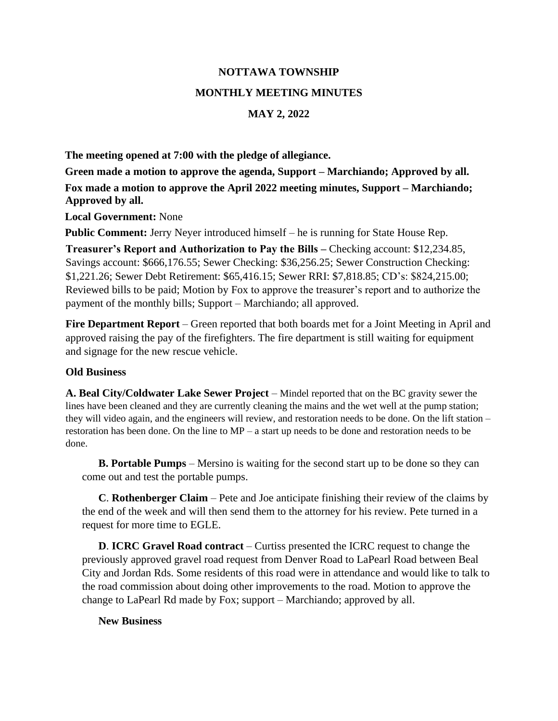## **NOTTAWA TOWNSHIP MONTHLY MEETING MINUTES MAY 2, 2022**

**The meeting opened at 7:00 with the pledge of allegiance.**

**Green made a motion to approve the agenda, Support – Marchiando; Approved by all. Fox made a motion to approve the April 2022 meeting minutes, Support – Marchiando; Approved by all.**

**Local Government:** None

**Public Comment:** Jerry Neyer introduced himself – he is running for State House Rep.

**Treasurer's Report and Authorization to Pay the Bills –** Checking account: \$12,234.85, Savings account: \$666,176.55; Sewer Checking: \$36,256.25; Sewer Construction Checking: \$1,221.26; Sewer Debt Retirement: \$65,416.15; Sewer RRI: \$7,818.85; CD's: \$824,215.00; Reviewed bills to be paid; Motion by Fox to approve the treasurer's report and to authorize the payment of the monthly bills; Support – Marchiando; all approved.

**Fire Department Report** – Green reported that both boards met for a Joint Meeting in April and approved raising the pay of the firefighters. The fire department is still waiting for equipment and signage for the new rescue vehicle.

## **Old Business**

**A. Beal City/Coldwater Lake Sewer Project** – Mindel reported that on the BC gravity sewer the lines have been cleaned and they are currently cleaning the mains and the wet well at the pump station; they will video again, and the engineers will review, and restoration needs to be done. On the lift station – restoration has been done. On the line to MP – a start up needs to be done and restoration needs to be done.

**B. Portable Pumps** – Mersino is waiting for the second start up to be done so they can come out and test the portable pumps.

**C**. **Rothenberger Claim** – Pete and Joe anticipate finishing their review of the claims by the end of the week and will then send them to the attorney for his review. Pete turned in a request for more time to EGLE.

**D**. **ICRC Gravel Road contract** – Curtiss presented the ICRC request to change the previously approved gravel road request from Denver Road to LaPearl Road between Beal City and Jordan Rds. Some residents of this road were in attendance and would like to talk to the road commission about doing other improvements to the road. Motion to approve the change to LaPearl Rd made by Fox; support – Marchiando; approved by all.

## **New Business**